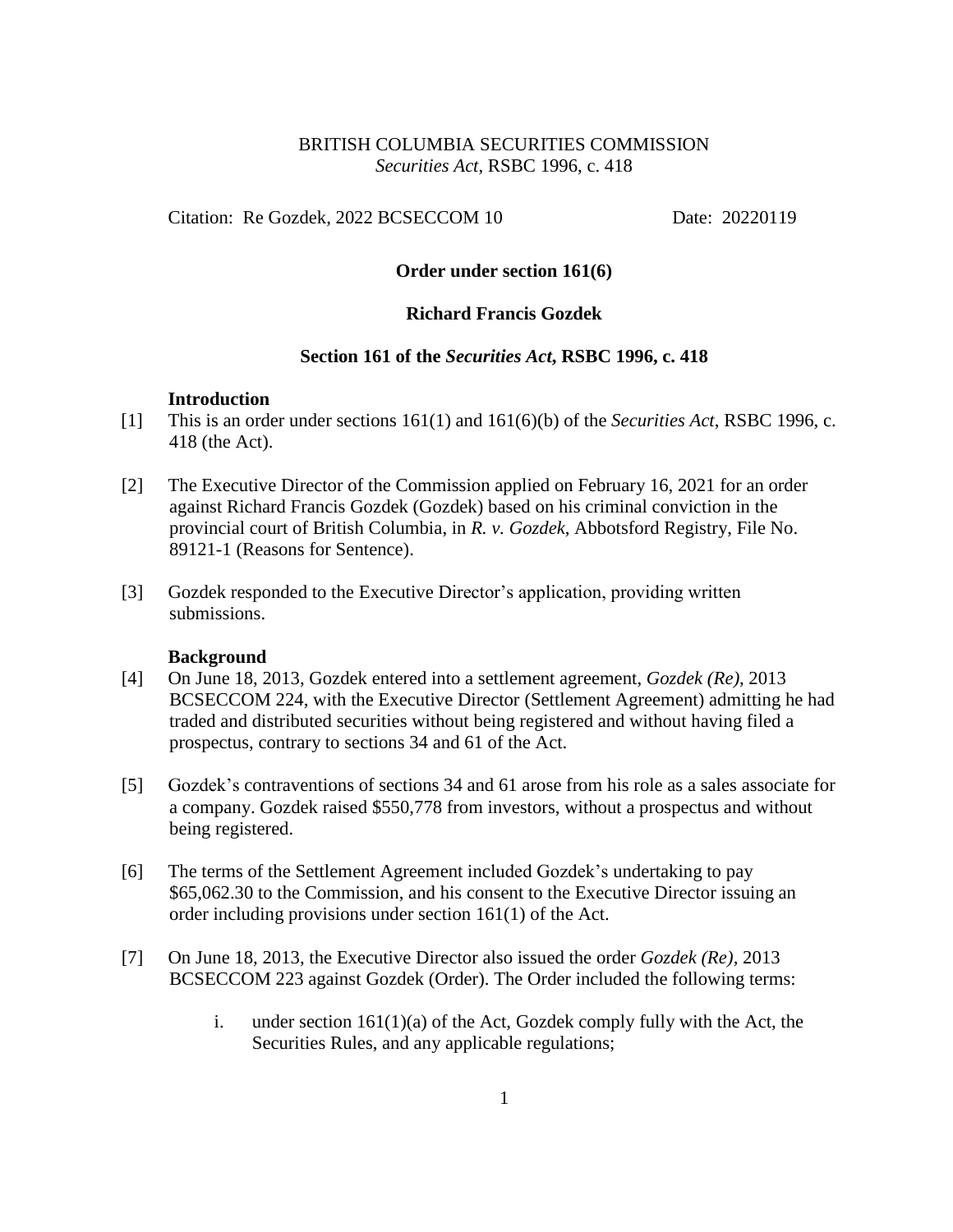# BRITISH COLUMBIA SECURITIES COMMISSION *Securities Act*, RSBC 1996, c. 418

Citation: Re Gozdek, 2022 BCSECCOM 10 Date: 20220119

# **Order under section 161(6)**

# **Richard Francis Gozdek**

### **Section 161 of the** *Securities Act***, RSBC 1996, c. 418**

### **Introduction**

- [1] This is an order under sections 161(1) and 161(6)(b) of the *Securities Act*, RSBC 1996, c. 418 (the Act).
- [2] The Executive Director of the Commission applied on February 16, 2021 for an order against Richard Francis Gozdek (Gozdek) based on his criminal conviction in the provincial court of British Columbia, in *R. v. Gozdek*, Abbotsford Registry, File No. 89121-1 (Reasons for Sentence).
- [3] Gozdek responded to the Executive Director's application, providing written submissions.

### **Background**

- [4] On June 18, 2013, Gozdek entered into a settlement agreement, *Gozdek (Re)*, 2013 BCSECCOM 224, with the Executive Director (Settlement Agreement) admitting he had traded and distributed securities without being registered and without having filed a prospectus, contrary to sections 34 and 61 of the Act.
- [5] Gozdek's contraventions of sections 34 and 61 arose from his role as a sales associate for a company. Gozdek raised \$550,778 from investors, without a prospectus and without being registered.
- [6] The terms of the Settlement Agreement included Gozdek's undertaking to pay \$65,062.30 to the Commission, and his consent to the Executive Director issuing an order including provisions under section 161(1) of the Act.
- [7] On June 18, 2013, the Executive Director also issued the order *Gozdek (Re),* 2013 BCSECCOM 223 against Gozdek (Order). The Order included the following terms:
	- i. under section  $161(1)(a)$  of the Act, Gozdek comply fully with the Act, the Securities Rules, and any applicable regulations;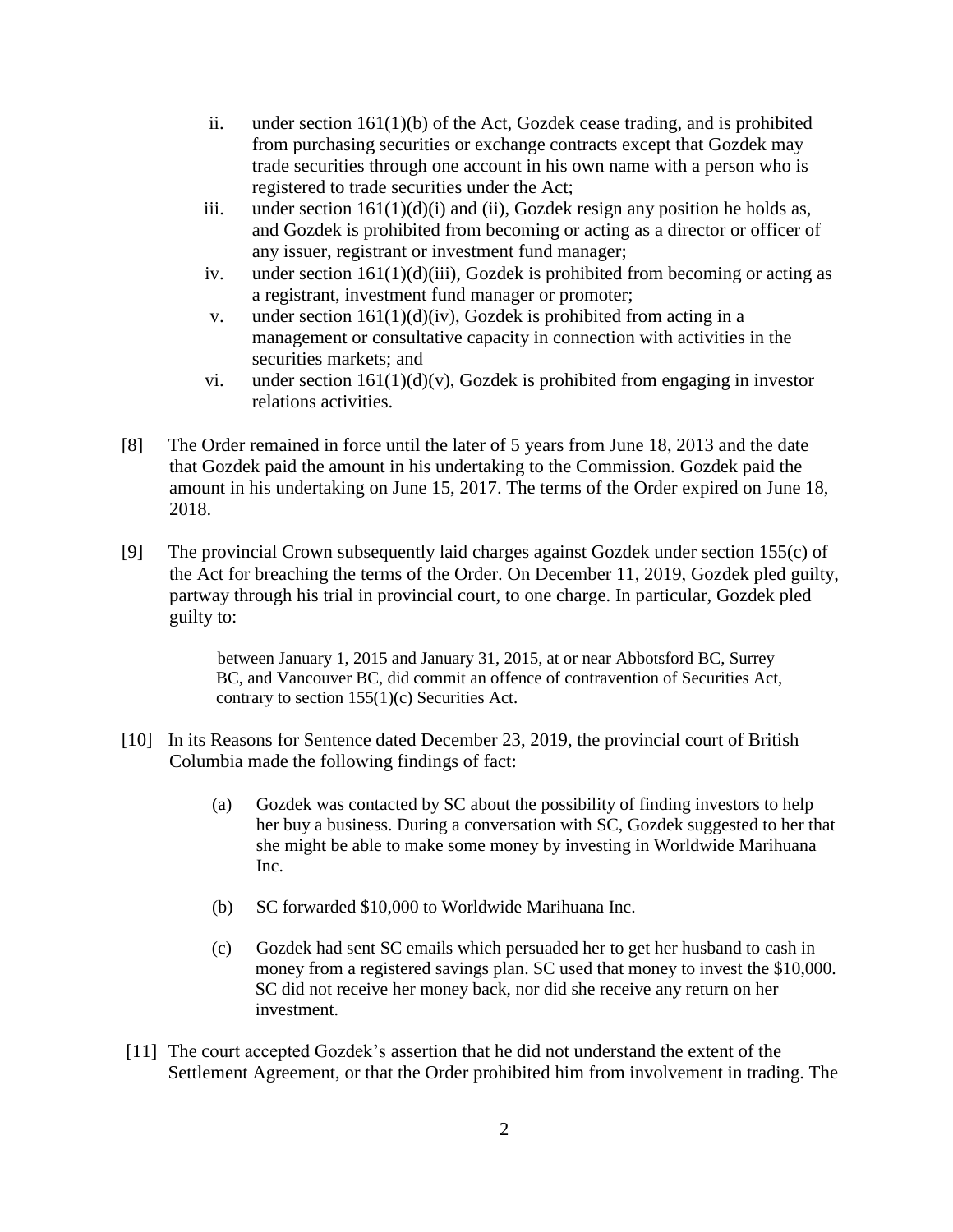- ii. under section  $161(1)(b)$  of the Act, Gozdek cease trading, and is prohibited from purchasing securities or exchange contracts except that Gozdek may trade securities through one account in his own name with a person who is registered to trade securities under the Act;
- iii. under section  $161(1)(d)(i)$  and (ii), Gozdek resign any position he holds as, and Gozdek is prohibited from becoming or acting as a director or officer of any issuer, registrant or investment fund manager;
- iv. under section  $161(1)(d)(iii)$ , Gozdek is prohibited from becoming or acting as a registrant, investment fund manager or promoter;
- v. under section  $161(1)(d)(iv)$ , Gozdek is prohibited from acting in a management or consultative capacity in connection with activities in the securities markets; and
- vi. under section  $161(1)(d)(v)$ , Gozdek is prohibited from engaging in investor relations activities.
- [8] The Order remained in force until the later of 5 years from June 18, 2013 and the date that Gozdek paid the amount in his undertaking to the Commission. Gozdek paid the amount in his undertaking on June 15, 2017. The terms of the Order expired on June 18, 2018.
- [9] The provincial Crown subsequently laid charges against Gozdek under section 155(c) of the Act for breaching the terms of the Order. On December 11, 2019, Gozdek pled guilty, partway through his trial in provincial court, to one charge. In particular, Gozdek pled guilty to:

between January 1, 2015 and January 31, 2015, at or near Abbotsford BC, Surrey BC, and Vancouver BC, did commit an offence of contravention of Securities Act, contrary to section 155(1)(c) Securities Act.

- [10] In its Reasons for Sentence dated December 23, 2019, the provincial court of British Columbia made the following findings of fact:
	- (a) Gozdek was contacted by SC about the possibility of finding investors to help her buy a business. During a conversation with SC, Gozdek suggested to her that she might be able to make some money by investing in Worldwide Marihuana Inc.
	- (b) SC forwarded \$10,000 to Worldwide Marihuana Inc.
	- (c) Gozdek had sent SC emails which persuaded her to get her husband to cash in money from a registered savings plan. SC used that money to invest the \$10,000. SC did not receive her money back, nor did she receive any return on her investment.
- [11] The court accepted Gozdek's assertion that he did not understand the extent of the Settlement Agreement, or that the Order prohibited him from involvement in trading. The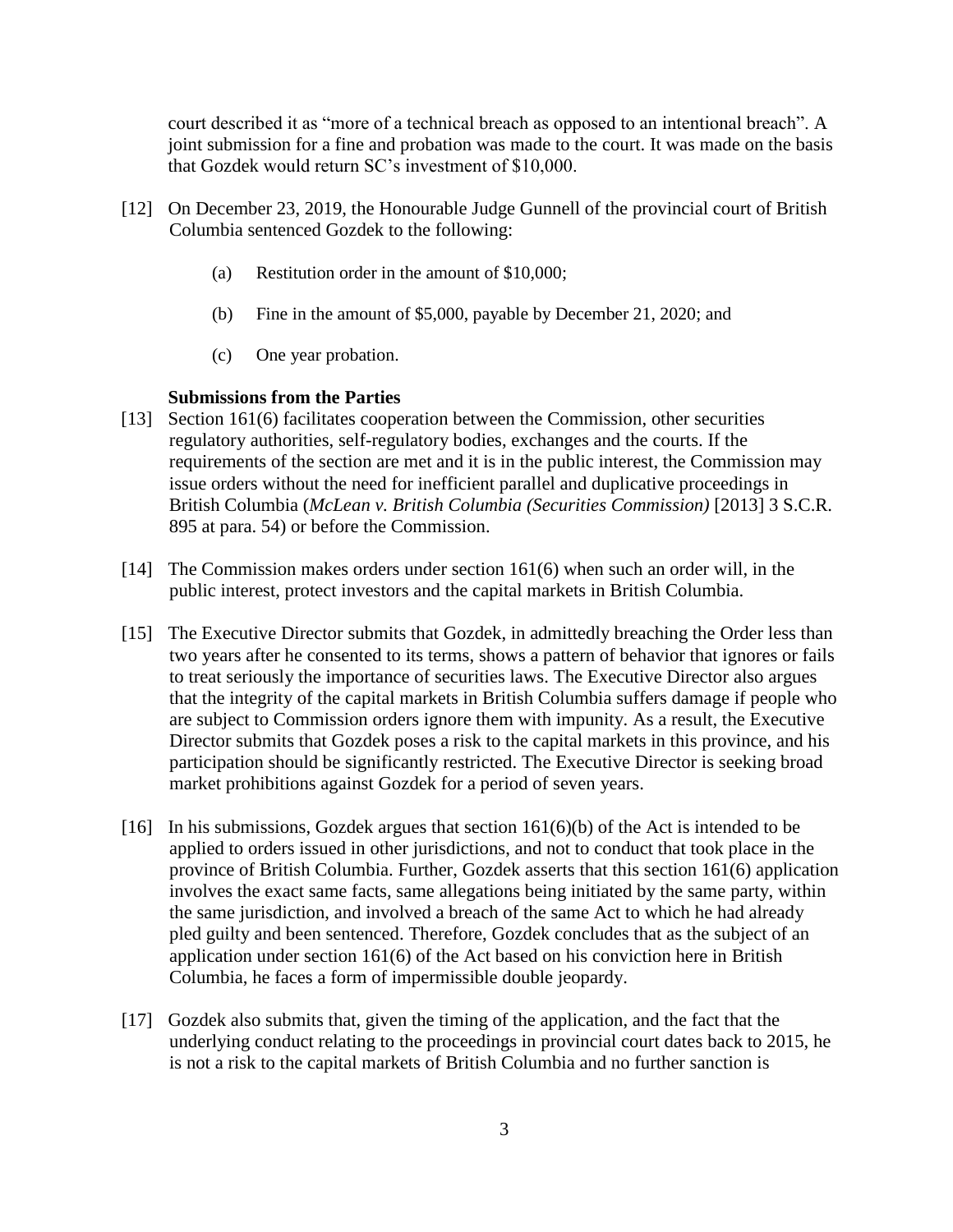court described it as "more of a technical breach as opposed to an intentional breach". A joint submission for a fine and probation was made to the court. It was made on the basis that Gozdek would return SC's investment of \$10,000.

- [12] On December 23, 2019, the Honourable Judge Gunnell of the provincial court of British Columbia sentenced Gozdek to the following:
	- (a) Restitution order in the amount of \$10,000;
	- (b) Fine in the amount of \$5,000, payable by December 21, 2020; and
	- (c) One year probation.

#### **Submissions from the Parties**

- [13] Section 161(6) facilitates cooperation between the Commission, other securities regulatory authorities, self-regulatory bodies, exchanges and the courts. If the requirements of the section are met and it is in the public interest, the Commission may issue orders without the need for inefficient parallel and duplicative proceedings in British Columbia (*McLean v. British Columbia (Securities Commission)* [2013] 3 S.C.R. 895 at para. 54) or before the Commission.
- [14] The Commission makes orders under section 161(6) when such an order will, in the public interest, protect investors and the capital markets in British Columbia.
- [15] The Executive Director submits that Gozdek, in admittedly breaching the Order less than two years after he consented to its terms, shows a pattern of behavior that ignores or fails to treat seriously the importance of securities laws. The Executive Director also argues that the integrity of the capital markets in British Columbia suffers damage if people who are subject to Commission orders ignore them with impunity. As a result, the Executive Director submits that Gozdek poses a risk to the capital markets in this province, and his participation should be significantly restricted. The Executive Director is seeking broad market prohibitions against Gozdek for a period of seven years.
- [16] In his submissions, Gozdek argues that section 161(6)(b) of the Act is intended to be applied to orders issued in other jurisdictions, and not to conduct that took place in the province of British Columbia. Further, Gozdek asserts that this section 161(6) application involves the exact same facts, same allegations being initiated by the same party, within the same jurisdiction, and involved a breach of the same Act to which he had already pled guilty and been sentenced. Therefore, Gozdek concludes that as the subject of an application under section 161(6) of the Act based on his conviction here in British Columbia, he faces a form of impermissible double jeopardy.
- [17] Gozdek also submits that, given the timing of the application, and the fact that the underlying conduct relating to the proceedings in provincial court dates back to 2015, he is not a risk to the capital markets of British Columbia and no further sanction is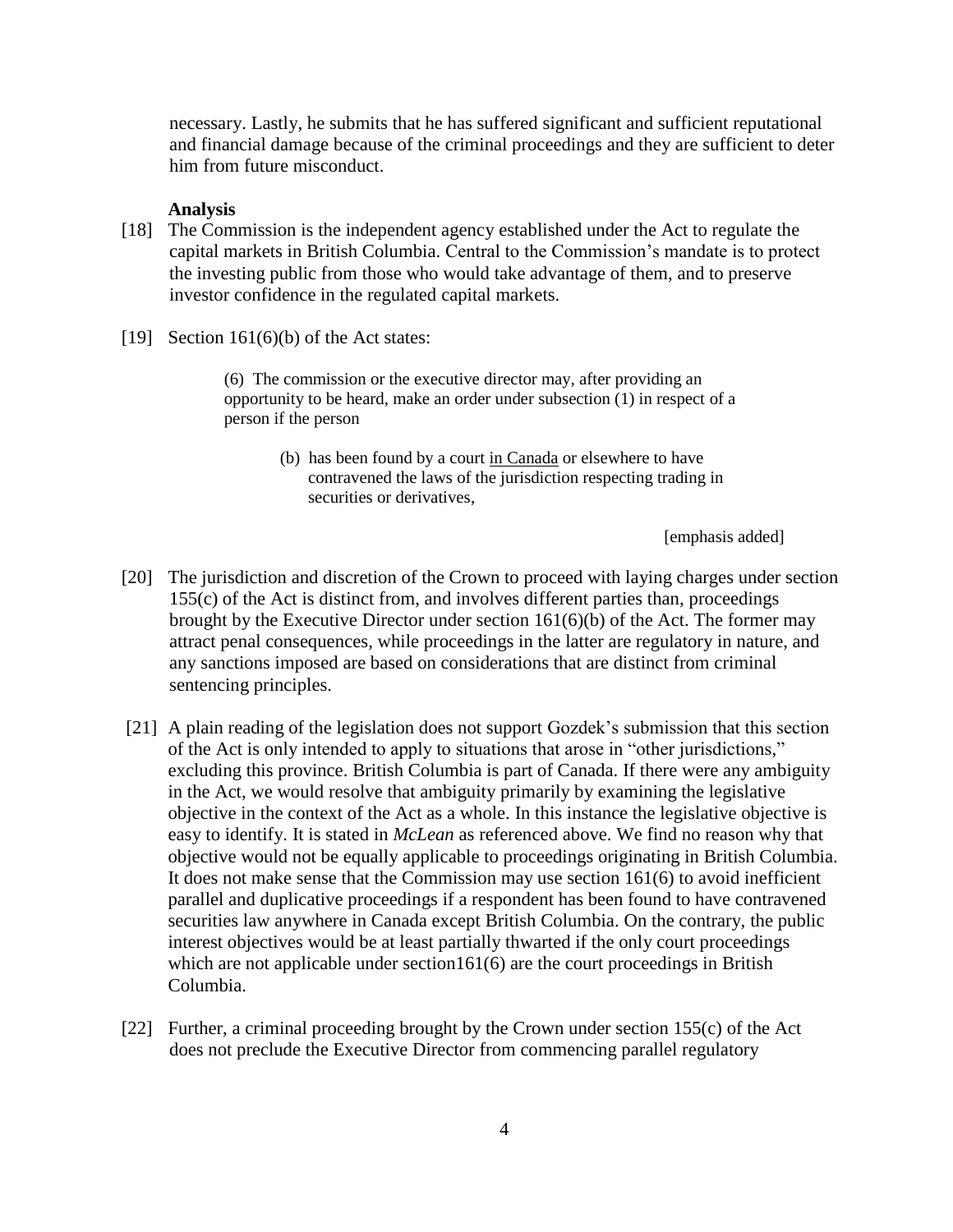necessary. Lastly, he submits that he has suffered significant and sufficient reputational and financial damage because of the criminal proceedings and they are sufficient to deter him from future misconduct.

#### **Analysis**

- [18] The Commission is the independent agency established under the Act to regulate the capital markets in British Columbia. Central to the Commission's mandate is to protect the investing public from those who would take advantage of them, and to preserve investor confidence in the regulated capital markets.
- [19] Section  $161(6)(b)$  of the Act states:

(6) The commission or the executive director may, after providing an opportunity to be heard, make an order under subsection (1) in respect of a person if the person

> (b) has been found by a court in Canada or elsewhere to have contravened the laws of the jurisdiction respecting trading in securities or derivatives,

> > [emphasis added]

- [20] The jurisdiction and discretion of the Crown to proceed with laying charges under section 155(c) of the Act is distinct from, and involves different parties than, proceedings brought by the Executive Director under section 161(6)(b) of the Act. The former may attract penal consequences, while proceedings in the latter are regulatory in nature, and any sanctions imposed are based on considerations that are distinct from criminal sentencing principles.
- [21] A plain reading of the legislation does not support Gozdek's submission that this section of the Act is only intended to apply to situations that arose in "other jurisdictions," excluding this province. British Columbia is part of Canada. If there were any ambiguity in the Act, we would resolve that ambiguity primarily by examining the legislative objective in the context of the Act as a whole. In this instance the legislative objective is easy to identify. It is stated in *McLean* as referenced above. We find no reason why that objective would not be equally applicable to proceedings originating in British Columbia. It does not make sense that the Commission may use section 161(6) to avoid inefficient parallel and duplicative proceedings if a respondent has been found to have contravened securities law anywhere in Canada except British Columbia. On the contrary, the public interest objectives would be at least partially thwarted if the only court proceedings which are not applicable under section161(6) are the court proceedings in British Columbia.
- [22] Further, a criminal proceeding brought by the Crown under section 155(c) of the Act does not preclude the Executive Director from commencing parallel regulatory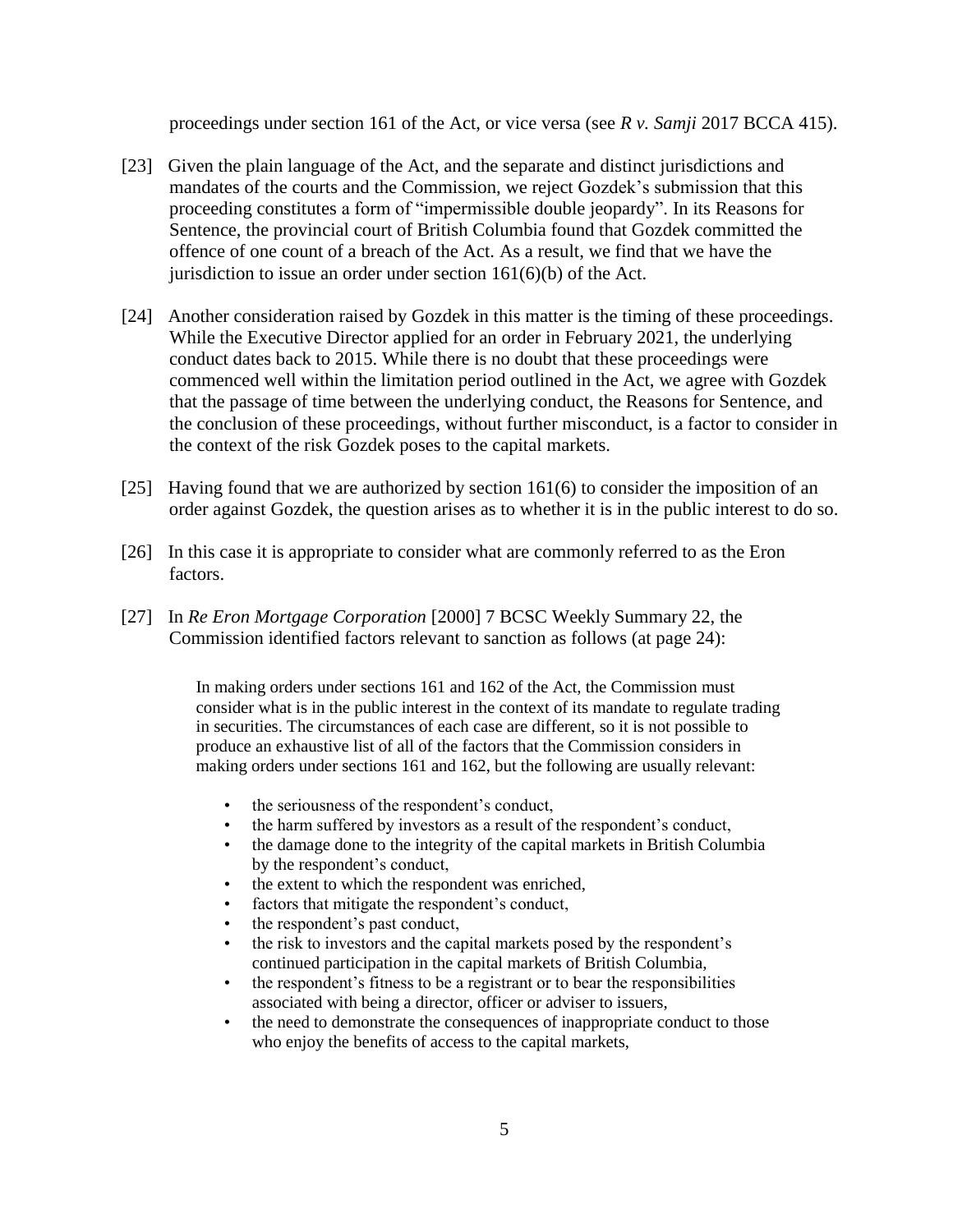proceedings under section 161 of the Act, or vice versa (see *R v. Samji* 2017 BCCA 415).

- [23] Given the plain language of the Act, and the separate and distinct jurisdictions and mandates of the courts and the Commission, we reject Gozdek's submission that this proceeding constitutes a form of "impermissible double jeopardy". In its Reasons for Sentence, the provincial court of British Columbia found that Gozdek committed the offence of one count of a breach of the Act. As a result, we find that we have the jurisdiction to issue an order under section  $161(6)(b)$  of the Act.
- [24] Another consideration raised by Gozdek in this matter is the timing of these proceedings. While the Executive Director applied for an order in February 2021, the underlying conduct dates back to 2015. While there is no doubt that these proceedings were commenced well within the limitation period outlined in the Act, we agree with Gozdek that the passage of time between the underlying conduct, the Reasons for Sentence, and the conclusion of these proceedings, without further misconduct, is a factor to consider in the context of the risk Gozdek poses to the capital markets.
- [25] Having found that we are authorized by section 161(6) to consider the imposition of an order against Gozdek, the question arises as to whether it is in the public interest to do so.
- [26] In this case it is appropriate to consider what are commonly referred to as the Eron factors.
- [27] In *Re Eron Mortgage Corporation* [2000] 7 BCSC Weekly Summary 22, the Commission identified factors relevant to sanction as follows (at page 24):

In making orders under sections 161 and 162 of the Act, the Commission must consider what is in the public interest in the context of its mandate to regulate trading in securities. The circumstances of each case are different, so it is not possible to produce an exhaustive list of all of the factors that the Commission considers in making orders under sections 161 and 162, but the following are usually relevant:

- the seriousness of the respondent's conduct,
- the harm suffered by investors as a result of the respondent's conduct,
- the damage done to the integrity of the capital markets in British Columbia by the respondent's conduct,
- the extent to which the respondent was enriched,
- factors that mitigate the respondent's conduct,
- the respondent's past conduct,
- the risk to investors and the capital markets posed by the respondent's continued participation in the capital markets of British Columbia,
- the respondent's fitness to be a registrant or to bear the responsibilities associated with being a director, officer or adviser to issuers,
- the need to demonstrate the consequences of inappropriate conduct to those who enjoy the benefits of access to the capital markets,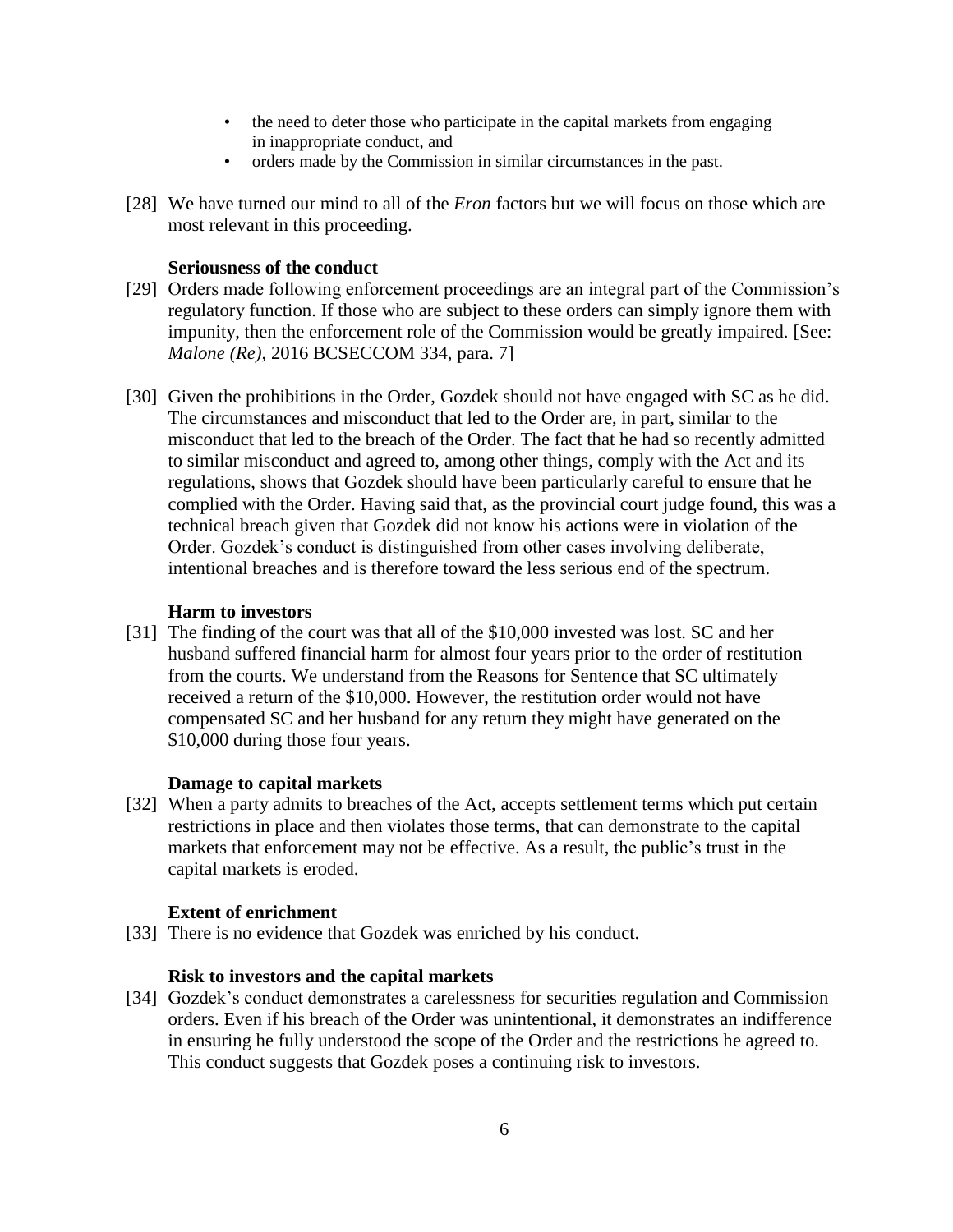- the need to deter those who participate in the capital markets from engaging in inappropriate conduct, and
- orders made by the Commission in similar circumstances in the past.
- [28] We have turned our mind to all of the *Eron* factors but we will focus on those which are most relevant in this proceeding.

# **Seriousness of the conduct**

- [29] Orders made following enforcement proceedings are an integral part of the Commission's regulatory function. If those who are subject to these orders can simply ignore them with impunity, then the enforcement role of the Commission would be greatly impaired. [See: *Malone (Re)*, 2016 BCSECCOM 334, para. 7]
- [30] Given the prohibitions in the Order, Gozdek should not have engaged with SC as he did. The circumstances and misconduct that led to the Order are, in part, similar to the misconduct that led to the breach of the Order. The fact that he had so recently admitted to similar misconduct and agreed to, among other things, comply with the Act and its regulations, shows that Gozdek should have been particularly careful to ensure that he complied with the Order. Having said that, as the provincial court judge found, this was a technical breach given that Gozdek did not know his actions were in violation of the Order. Gozdek's conduct is distinguished from other cases involving deliberate, intentional breaches and is therefore toward the less serious end of the spectrum.

# **Harm to investors**

[31] The finding of the court was that all of the \$10,000 invested was lost. SC and her husband suffered financial harm for almost four years prior to the order of restitution from the courts. We understand from the Reasons for Sentence that SC ultimately received a return of the \$10,000. However, the restitution order would not have compensated SC and her husband for any return they might have generated on the \$10,000 during those four years.

# **Damage to capital markets**

[32] When a party admits to breaches of the Act, accepts settlement terms which put certain restrictions in place and then violates those terms, that can demonstrate to the capital markets that enforcement may not be effective. As a result, the public's trust in the capital markets is eroded.

### **Extent of enrichment**

[33] There is no evidence that Gozdek was enriched by his conduct.

### **Risk to investors and the capital markets**

[34] Gozdek's conduct demonstrates a carelessness for securities regulation and Commission orders. Even if his breach of the Order was unintentional, it demonstrates an indifference in ensuring he fully understood the scope of the Order and the restrictions he agreed to. This conduct suggests that Gozdek poses a continuing risk to investors.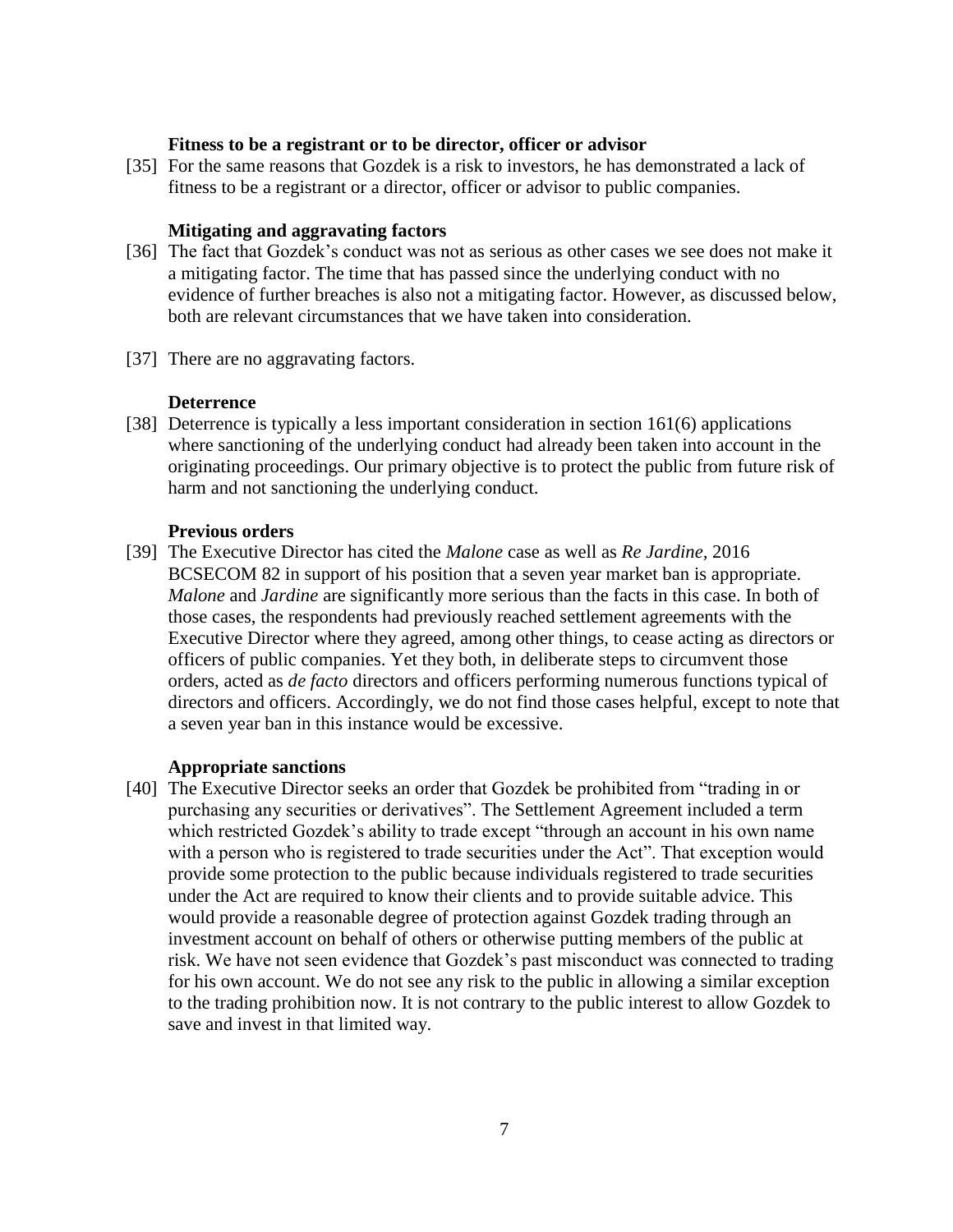### **Fitness to be a registrant or to be director, officer or advisor**

[35] For the same reasons that Gozdek is a risk to investors, he has demonstrated a lack of fitness to be a registrant or a director, officer or advisor to public companies.

# **Mitigating and aggravating factors**

- [36] The fact that Gozdek's conduct was not as serious as other cases we see does not make it a mitigating factor. The time that has passed since the underlying conduct with no evidence of further breaches is also not a mitigating factor. However, as discussed below, both are relevant circumstances that we have taken into consideration.
- [37] There are no aggravating factors.

# **Deterrence**

[38] Deterrence is typically a less important consideration in section 161(6) applications where sanctioning of the underlying conduct had already been taken into account in the originating proceedings. Our primary objective is to protect the public from future risk of harm and not sanctioning the underlying conduct.

# **Previous orders**

[39] The Executive Director has cited the *Malone* case as well as *Re Jardine,* 2016 BCSECOM 82 in support of his position that a seven year market ban is appropriate. *Malone* and *Jardine* are significantly more serious than the facts in this case. In both of those cases, the respondents had previously reached settlement agreements with the Executive Director where they agreed, among other things, to cease acting as directors or officers of public companies. Yet they both, in deliberate steps to circumvent those orders, acted as *de facto* directors and officers performing numerous functions typical of directors and officers. Accordingly, we do not find those cases helpful, except to note that a seven year ban in this instance would be excessive.

### **Appropriate sanctions**

[40] The Executive Director seeks an order that Gozdek be prohibited from "trading in or purchasing any securities or derivatives". The Settlement Agreement included a term which restricted Gozdek's ability to trade except "through an account in his own name with a person who is registered to trade securities under the Act". That exception would provide some protection to the public because individuals registered to trade securities under the Act are required to know their clients and to provide suitable advice. This would provide a reasonable degree of protection against Gozdek trading through an investment account on behalf of others or otherwise putting members of the public at risk. We have not seen evidence that Gozdek's past misconduct was connected to trading for his own account. We do not see any risk to the public in allowing a similar exception to the trading prohibition now. It is not contrary to the public interest to allow Gozdek to save and invest in that limited way.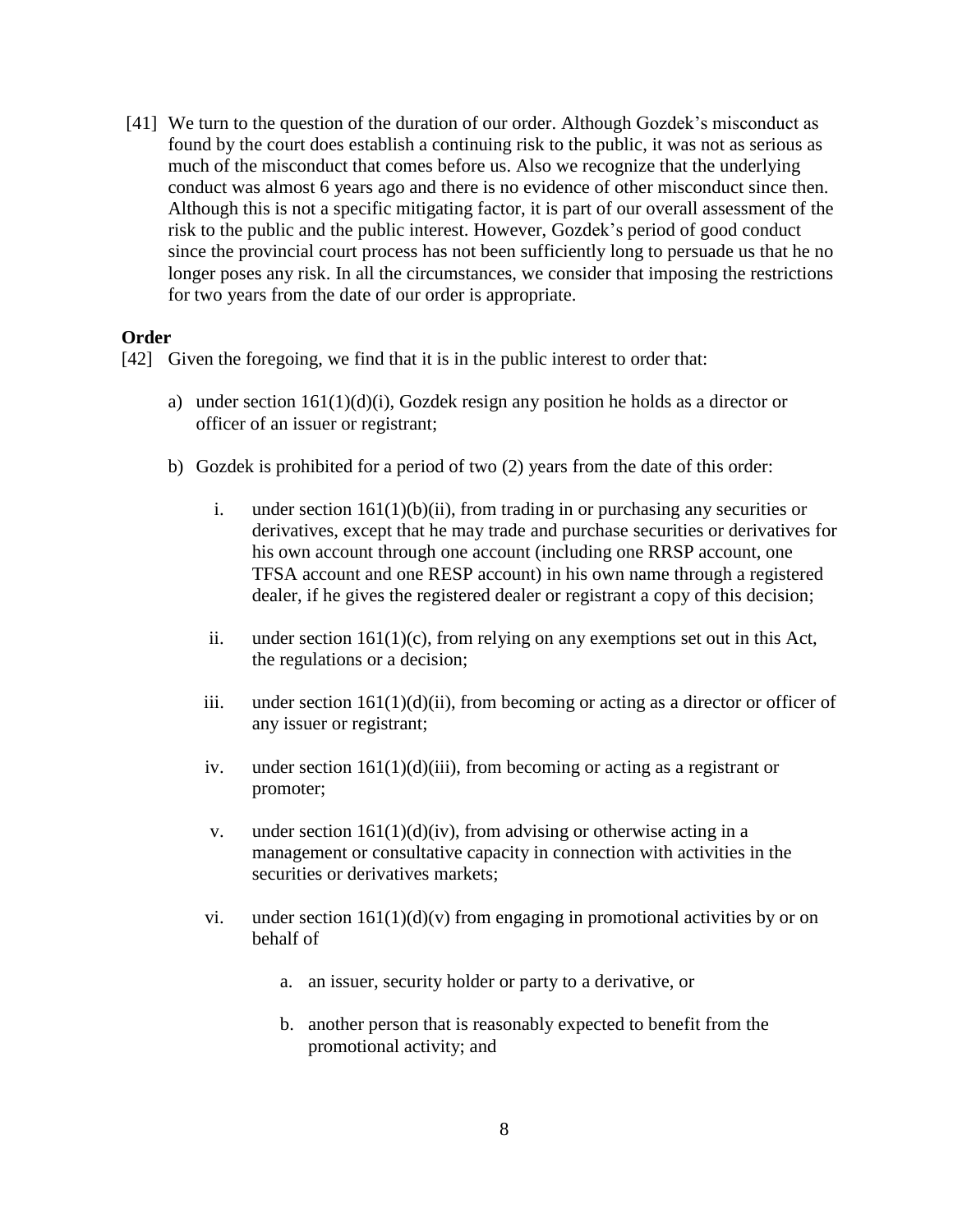[41] We turn to the question of the duration of our order. Although Gozdek's misconduct as found by the court does establish a continuing risk to the public, it was not as serious as much of the misconduct that comes before us. Also we recognize that the underlying conduct was almost 6 years ago and there is no evidence of other misconduct since then. Although this is not a specific mitigating factor, it is part of our overall assessment of the risk to the public and the public interest. However, Gozdek's period of good conduct since the provincial court process has not been sufficiently long to persuade us that he no longer poses any risk. In all the circumstances, we consider that imposing the restrictions for two years from the date of our order is appropriate.

#### **Order**

[42] Given the foregoing, we find that it is in the public interest to order that:

- a) under section  $161(1)(d)(i)$ , Gozdek resign any position he holds as a director or officer of an issuer or registrant;
- b) Gozdek is prohibited for a period of two (2) years from the date of this order:
	- i. under section  $161(1)(b)(ii)$ , from trading in or purchasing any securities or derivatives, except that he may trade and purchase securities or derivatives for his own account through one account (including one RRSP account, one TFSA account and one RESP account) in his own name through a registered dealer, if he gives the registered dealer or registrant a copy of this decision;
	- ii. under section 161(1)(c), from relying on any exemptions set out in this Act, the regulations or a decision;
	- iii. under section  $161(1)(d)(ii)$ , from becoming or acting as a director or officer of any issuer or registrant;
	- iv. under section  $161(1)(d)(iii)$ , from becoming or acting as a registrant or promoter;
	- v. under section  $161(1)(d)(iv)$ , from advising or otherwise acting in a management or consultative capacity in connection with activities in the securities or derivatives markets;
	- vi. under section  $161(1)(d)(v)$  from engaging in promotional activities by or on behalf of
		- a. an issuer, security holder or party to a derivative, or
		- b. another person that is reasonably expected to benefit from the promotional activity; and